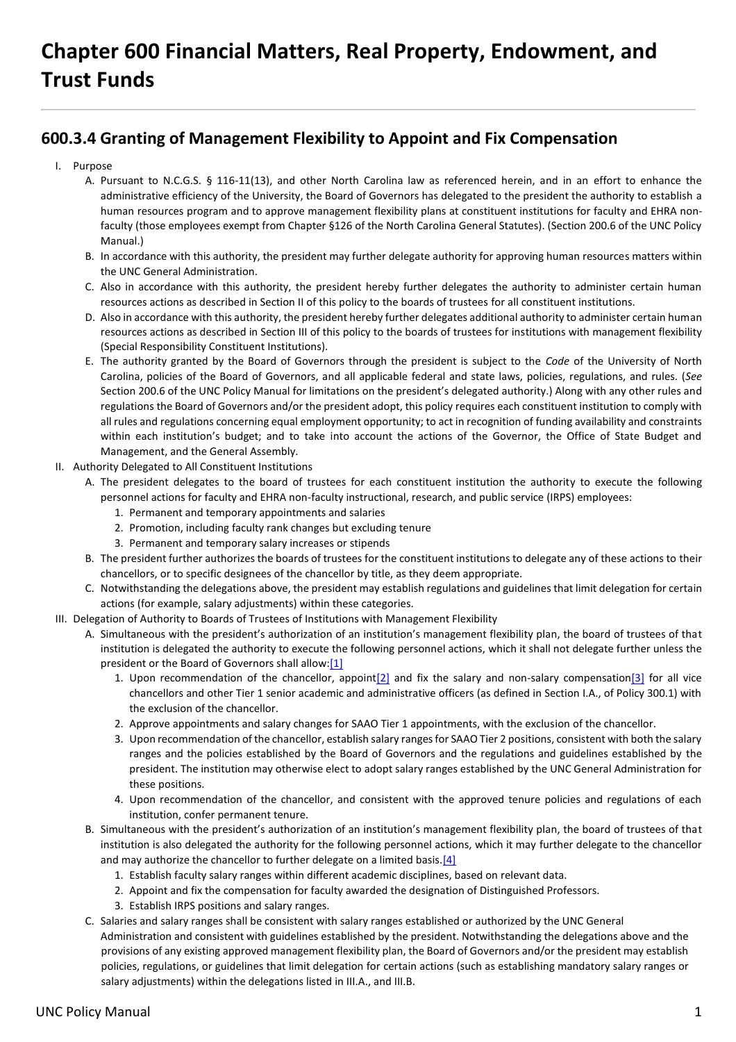## **Chapter 600 Financial Matters, Real Property, Endowment, and Trust Funds**

## **600.3.4 Granting of Management Flexibility to Appoint and Fix Compensation**

- I. Purpose
	- A. Pursuant to N.C.G.S. § 116-11(13), and other North Carolina law as referenced herein, and in an effort to enhance the administrative efficiency of the University, the Board of Governors has delegated to the president the authority to establish a human resources program and to approve management flexibility plans at constituent institutions for faculty and EHRA nonfaculty (those employees exempt from Chapter §126 of the North Carolina General Statutes). (Section 200.6 of the UNC Policy Manual.)
	- B. In accordance with this authority, the president may further delegate authority for approving human resources matters within the UNC General Administration.
	- C. Also in accordance with this authority, the president hereby further delegates the authority to administer certain human resources actions as described in Section II of this policy to the boards of trustees for all constituent institutions.
	- D. Also in accordance with this authority, the president hereby further delegates additional authority to administer certain human resources actions as described in Section III of this policy to the boards of trustees for institutions with management flexibility (Special Responsibility Constituent Institutions).
	- E. The authority granted by the Board of Governors through the president is subject to the *Code* of the University of North Carolina, policies of the Board of Governors, and all applicable federal and state laws, policies, regulations, and rules. (*See* Section 200.6 of the UNC Policy Manual for limitations on the president's delegated authority.) Along with any other rules and regulations the Board of Governors and/or the president adopt, this policy requires each constituent institution to comply with all rules and regulations concerning equal employment opportunity; to act in recognition of funding availability and constraints within each institution's budget; and to take into account the actions of the Governor, the Office of State Budget and Management, and the General Assembly.
- II. Authority Delegated to All Constituent Institutions
	- A. The president delegates to the board of trustees for each constituent institution the authority to execute the following personnel actions for faculty and EHRA non-faculty instructional, research, and public service (IRPS) employees:
		- 1. Permanent and temporary appointments and salaries
		- 2. Promotion, including faculty rank changes but excluding tenure
		- 3. Permanent and temporary salary increases or stipends
	- B. The president further authorizes the boards of trustees for the constituent institutions to delegate any of these actions to their chancellors, or to specific designees of the chancellor by title, as they deem appropriate.
	- C. Notwithstanding the delegations above, the president may establish regulations and guidelines that limit delegation for certain actions (for example, salary adjustments) within these categories.
- III. Delegation of Authority to Boards of Trustees of Institutions with Management Flexibility
	- A. Simultaneous with the president's authorization of an institution's management flexibility plan, the board of trustees of that institution is delegated the authority to execute the following personnel actions, which it shall not delegate further unless the president or the Board of Governors shall allow:[1]
		- 1. Upon recommendation of the chancellor, appoint $[2]$  and fix the salary and non-salary compensation $[3]$  for all vice chancellors and other Tier 1 senior academic and administrative officers (as defined in Section I.A., of Policy 300.1) with the exclusion of the chancellor.
		- 2. Approve appointments and salary changes for SAAO Tier 1 appointments, with the exclusion of the chancellor.
		- 3. Upon recommendation of the chancellor, establish salary ranges for SAAO Tier 2 positions, consistent with both the salary ranges and the policies established by the Board of Governors and the regulations and guidelines established by the president. The institution may otherwise elect to adopt salary ranges established by the UNC General Administration for these positions.
		- 4. Upon recommendation of the chancellor, and consistent with the approved tenure policies and regulations of each institution, confer permanent tenure.
	- B. Simultaneous with the president's authorization of an institution's management flexibility plan, the board of trustees of that institution is also delegated the authority for the following personnel actions, which it may further delegate to the chancellor and may authorize the chancellor to further delegate on a limited basis.<sup>[4]</sup>
		- 1. Establish faculty salary ranges within different academic disciplines, based on relevant data.
		- 2. Appoint and fix the compensation for faculty awarded the designation of Distinguished Professors.
		- 3. Establish IRPS positions and salary ranges.
	- C. Salaries and salary ranges shall be consistent with salary ranges established or authorized by the UNC General Administration and consistent with guidelines established by the president. Notwithstanding the delegations above and the provisions of any existing approved management flexibility plan, the Board of Governors and/or the president may establish policies, regulations, or guidelines that limit delegation for certain actions (such as establishing mandatory salary ranges or salary adjustments) within the delegations listed in III.A., and III.B.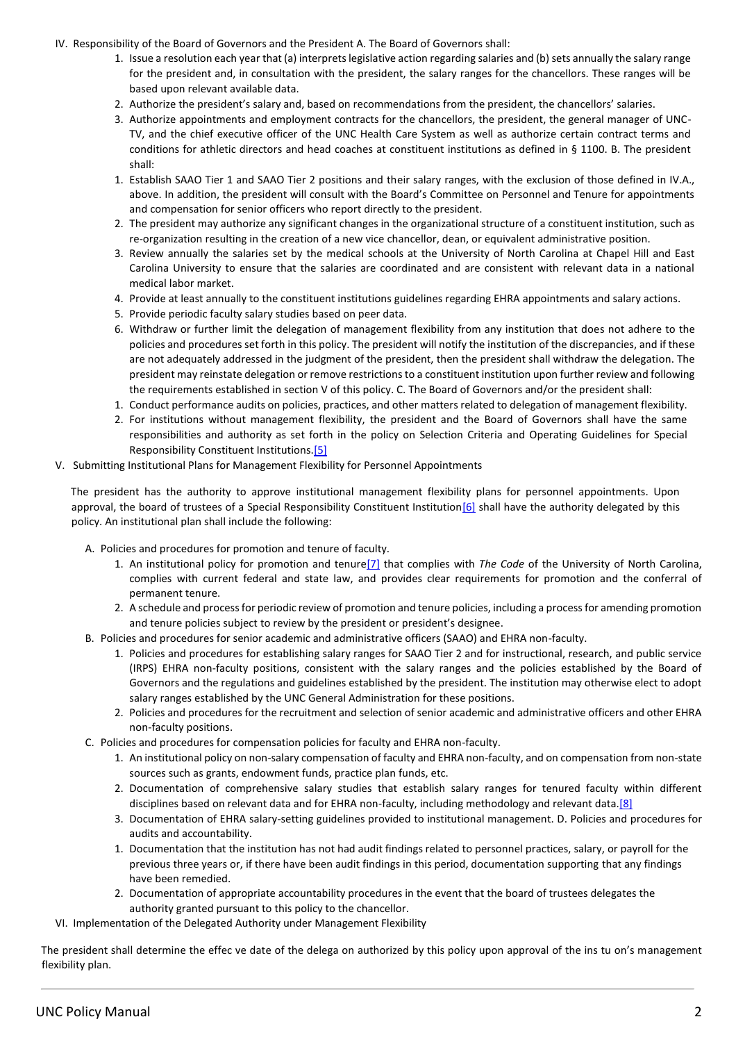- IV. Responsibility of the Board of Governors and the President A. The Board of Governors shall:
	- 1. Issue a resolution each year that (a) interprets legislative action regarding salaries and (b) sets annually the salary range for the president and, in consultation with the president, the salary ranges for the chancellors. These ranges will be based upon relevant available data.
	- 2. Authorize the president's salary and, based on recommendations from the president, the chancellors' salaries.
	- 3. Authorize appointments and employment contracts for the chancellors, the president, the general manager of UNC-TV, and the chief executive officer of the UNC Health Care System as well as authorize certain contract terms and conditions for athletic directors and head coaches at constituent institutions as defined in § 1100. B. The president shall:
	- 1. Establish SAAO Tier 1 and SAAO Tier 2 positions and their salary ranges, with the exclusion of those defined in IV.A., above. In addition, the president will consult with the Board's Committee on Personnel and Tenure for appointments and compensation for senior officers who report directly to the president.
	- 2. The president may authorize any significant changes in the organizational structure of a constituent institution, such as re-organization resulting in the creation of a new vice chancellor, dean, or equivalent administrative position.
	- 3. Review annually the salaries set by the medical schools at the University of North Carolina at Chapel Hill and East Carolina University to ensure that the salaries are coordinated and are consistent with relevant data in a national medical labor market.
	- 4. Provide at least annually to the constituent institutions guidelines regarding EHRA appointments and salary actions.
	- 5. Provide periodic faculty salary studies based on peer data.
	- 6. Withdraw or further limit the delegation of management flexibility from any institution that does not adhere to the policies and procedures set forth in this policy. The president will notify the institution of the discrepancies, and if these are not adequately addressed in the judgment of the president, then the president shall withdraw the delegation. The president may reinstate delegation or remove restrictions to a constituent institution upon further review and following the requirements established in section V of this policy. C. The Board of Governors and/or the president shall:
	- 1. Conduct performance audits on policies, practices, and other matters related to delegation of management flexibility.
	- 2. For institutions without management flexibility, the president and the Board of Governors shall have the same responsibilities and authority as set forth in the policy on Selection Criteria and Operating Guidelines for Special Responsibility Constituent Institutions.[5]
- V. Submitting Institutional Plans for Management Flexibility for Personnel Appointments

The president has the authority to approve institutional management flexibility plans for personnel appointments. Upon approval, the board of trustees of a Special Responsibility Constituent Institution[6] shall have the authority delegated by this policy. An institutional plan shall include the following:

- A. Policies and procedures for promotion and tenure of faculty.
	- 1. An institutional policy for promotion and tenure[7] that complies with *The Code* of the University of North Carolina, complies with current federal and state law, and provides clear requirements for promotion and the conferral of permanent tenure.
	- 2. A schedule and process for periodic review of promotion and tenure policies, including a process for amending promotion and tenure policies subject to review by the president or president's designee.
- B. Policies and procedures for senior academic and administrative officers (SAAO) and EHRA non-faculty.
	- 1. Policies and procedures for establishing salary ranges for SAAO Tier 2 and for instructional, research, and public service (IRPS) EHRA non-faculty positions, consistent with the salary ranges and the policies established by the Board of Governors and the regulations and guidelines established by the president. The institution may otherwise elect to adopt salary ranges established by the UNC General Administration for these positions.
	- 2. Policies and procedures for the recruitment and selection of senior academic and administrative officers and other EHRA non-faculty positions.
- C. Policies and procedures for compensation policies for faculty and EHRA non-faculty.
	- 1. An institutional policy on non-salary compensation of faculty and EHRA non-faculty, and on compensation from non-state sources such as grants, endowment funds, practice plan funds, etc.
	- 2. Documentation of comprehensive salary studies that establish salary ranges for tenured faculty within different disciplines based on relevant data and for EHRA non-faculty, including methodology and relevant data.[8]
	- 3. Documentation of EHRA salary-setting guidelines provided to institutional management. D. Policies and procedures for audits and accountability.
	- 1. Documentation that the institution has not had audit findings related to personnel practices, salary, or payroll for the previous three years or, if there have been audit findings in this period, documentation supporting that any findings have been remedied.
	- 2. Documentation of appropriate accountability procedures in the event that the board of trustees delegates the authority granted pursuant to this policy to the chancellor.
- VI. Implementation of the Delegated Authority under Management Flexibility

The president shall determine the effec ve date of the delega on authorized by this policy upon approval of the ins tu on's management flexibility plan.